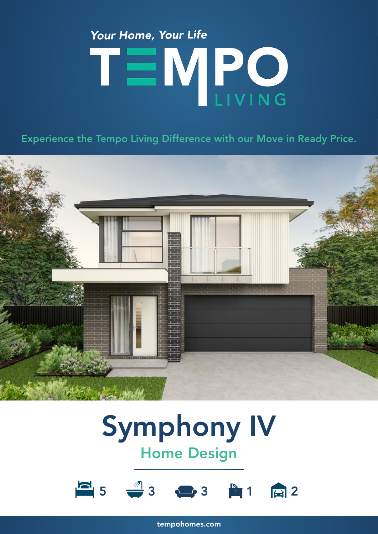## Your Home, Your Life TEMPO

Experience the Tempo Living Difference with our Move in Ready Price.



### Symphony IV Home Design



tempohomes.com